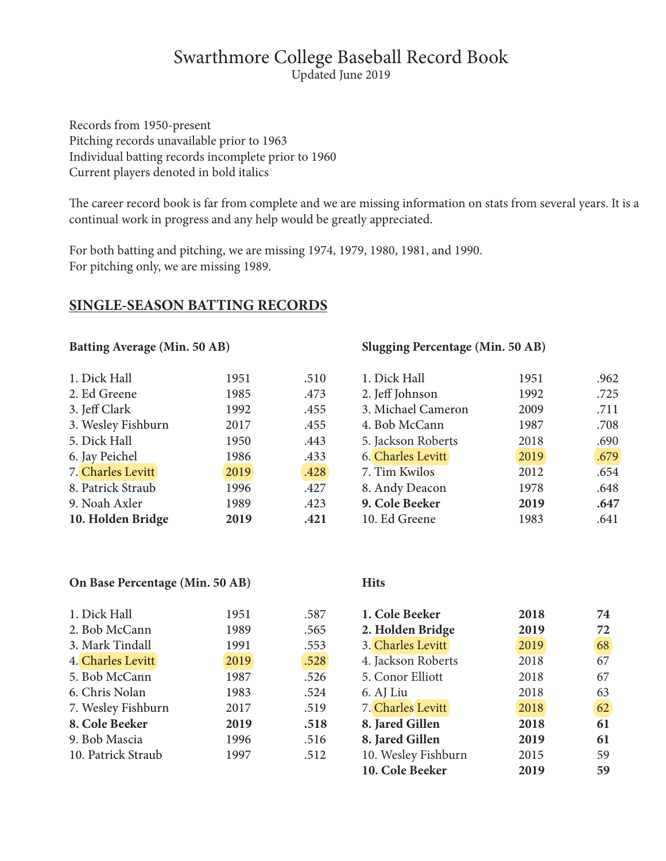# Swarthmore College Baseball Record Book

Updated June 2019

Records from 1950-present Pitching records unavailable prior to 1963 Individual batting records incomplete prior to 1960 Current players denoted in bold italics

The career record book is far from complete and we are missing information on stats from several years. It is a continual work in progress and any help would be greatly appreciated.

For both batting and pitching, we are missing 1974, 1979, 1980, 1981, and 1990. For pitching only, we are missing 1989.

## **SINGLE-SEASON BATTING RECORDS**

**Batting Average (Min. 50 AB)**

| 1. Dick Hall       | 1951 | .510 |
|--------------------|------|------|
| 2. Ed Greene       | 1985 | .473 |
| 3. Jeff Clark      | 1992 | .455 |
| 3. Wesley Fishburn | 2017 | .455 |
| 5. Dick Hall       | 1950 | .443 |
| 6. Jay Peichel     | 1986 | .433 |
| 7. Charles Levitt  | 2019 | .428 |
| 8. Patrick Straub  | 1996 | .427 |
| 9. Noah Axler      | 1989 | .423 |
| 10. Holden Bridge  | 2019 | .421 |

#### **Slugging Percentage (Min. 50 AB)**

| 1. Dick Hall             | 1951 | .962 |
|--------------------------|------|------|
| 2. Jeff Johnson          | 1992 | .725 |
| 3. Michael Cameron       | 2009 | .711 |
| 4. Bob McCann            | 1987 | .708 |
| 5. Jackson Roberts       | 2018 | .690 |
| <b>6. Charles Levitt</b> | 2019 | .679 |
| 7. Tim Kwilos            | 2012 | .654 |
| 8. Andy Deacon           | 1978 | .648 |
| 9. Cole Beeker           | 2019 | .647 |
| 10. Ed Greene            | 1983 | .641 |

#### **On Base Percentage (Min. 50 AB)**

| 1. Dick Hall       | 1951 | .587 | 1. Cole Beeker      | 2018 | 74 |
|--------------------|------|------|---------------------|------|----|
| 2. Bob McCann      | 1989 | .565 | 2. Holden Bridge    | 2019 | 72 |
| 3. Mark Tindall    | 1991 | .553 | 3. Charles Levitt   | 2019 | 68 |
| 4. Charles Levitt  | 2019 | .528 | 4. Jackson Roberts  | 2018 | 67 |
| 5. Bob McCann      | 1987 | .526 | 5. Conor Elliott    | 2018 | 67 |
| 6. Chris Nolan     | 1983 | .524 | 6. AJ Liu           | 2018 | 63 |
| 7. Wesley Fishburn | 2017 | .519 | 7. Charles Levitt   | 2018 | 62 |
| 8. Cole Beeker     | 2019 | .518 | 8. Jared Gillen     | 2018 | 61 |
| 9. Bob Mascia      | 1996 | .516 | 8. Jared Gillen     | 2019 | 61 |
| 10. Patrick Straub | 1997 | .512 | 10. Wesley Fishburn | 2015 | 59 |
|                    |      |      | 10. Cole Beeker     | 2019 | 59 |

**Hits**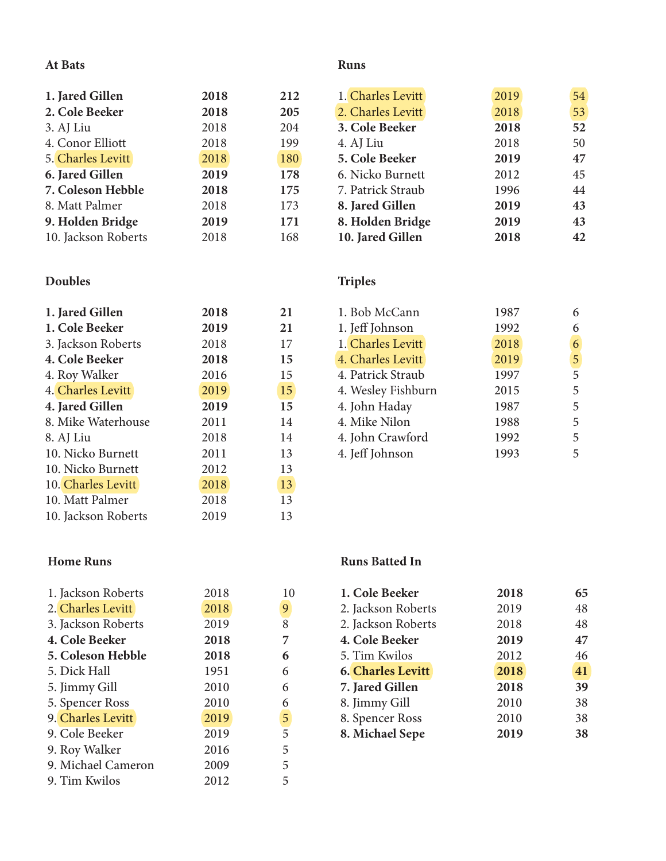#### **At Bats**

#### **Runs**

| 1. Jared Gillen     | 2018 | 212 |
|---------------------|------|-----|
| 2. Cole Beeker      | 2018 | 205 |
| 3. AJ Liu           | 2018 | 204 |
| 4. Conor Elliott    | 2018 | 199 |
| 5. Charles Levitt   | 2018 | 180 |
| 6. Jared Gillen     | 2019 | 178 |
| 7. Coleson Hebble   | 2018 | 175 |
| 8. Matt Palmer      | 2018 | 173 |
| 9. Holden Bridge    | 2019 | 171 |
| 10. Jackson Roberts | 2018 | 168 |

# **Doubles**

| 1. Jared Gillen     | 2018 | 21 |
|---------------------|------|----|
| 1. Cole Beeker      | 2019 | 21 |
| 3. Jackson Roberts  | 2018 | 17 |
| 4. Cole Beeker      | 2018 | 15 |
| 4. Roy Walker       | 2016 | 15 |
| 4. Charles Levitt   | 2019 | 15 |
| 4. Jared Gillen     | 2019 | 15 |
| 8. Mike Waterhouse  | 2011 | 14 |
| 8. AJ Liu           | 2018 | 14 |
| 10. Nicko Burnett   | 2011 | 13 |
| 10. Nicko Burnett   | 2012 | 13 |
| 10. Charles Levitt  | 2018 | 13 |
| 10. Matt Palmer     | 2018 | 13 |
| 10. Jackson Roberts | 2019 | 13 |

# **Home Runs**

| 2018 | 10   |
|------|------|
|      |      |
|      | 9    |
| 2019 | 8    |
| 2018 | 7    |
| 2018 | 6    |
| 1951 | 6    |
| 2010 | 6    |
| 2010 | 6    |
| 2019 | 5    |
| 2019 | 5    |
| 2016 | 5    |
| 2009 | 5    |
| 2012 | 5    |
|      | 2018 |

| 1. Charles Levitt | 2019 | 54 |
|-------------------|------|----|
| 2. Charles Levitt | 2018 | 53 |
| 3. Cole Beeker    | 2018 | 52 |
| 4. AJ Liu         | 2018 | 50 |
| 5. Cole Beeker    | 2019 | 47 |
| 6. Nicko Burnett  | 2012 | 45 |
| 7. Patrick Straub | 1996 | 44 |
| 8. Jared Gillen   | 2019 | 43 |
| 8. Holden Bridge  | 2019 | 43 |
| 10. Jared Gillen  | 2018 | 42 |

# **Triples**

| 1. Bob McCann      | 1987 |                |
|--------------------|------|----------------|
| 1. Jeff Johnson    | 1992 | 6              |
| 1. Charles Levitt  | 2018 | 6              |
| 4. Charles Levitt  | 2019 | 5              |
| 4. Patrick Straub  | 1997 | $\overline{5}$ |
| 4. Wesley Fishburn | 2015 | 5              |
| 4. John Haday      | 1987 | 5              |
| 4. Mike Nilon      | 1988 | 5              |
| 4. John Crawford   | 1992 | 5              |
| 4. Jeff Johnson    | 1993 | 5              |

## **Runs Batted In**

| 1. Cole Beeker           | 2018 | 65 |
|--------------------------|------|----|
| 2. Jackson Roberts       | 2019 | 48 |
| 2. Jackson Roberts       | 2018 | 48 |
| 4. Cole Beeker           | 2019 | 47 |
| 5. Tim Kwilos            | 2012 | 46 |
| <b>6. Charles Levitt</b> | 2018 | 41 |
| 7. Jared Gillen          | 2018 | 39 |
| 8. Jimmy Gill            | 2010 | 38 |
| 8. Spencer Ross          | 2010 | 38 |
| 8. Michael Sepe          | 2019 | 38 |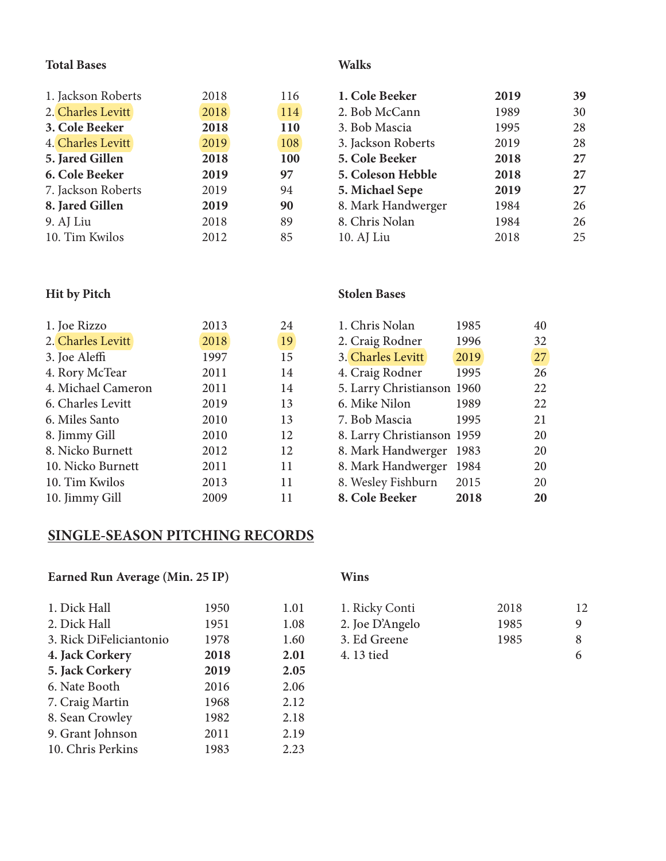## **Total Bases**

| 1. Jackson Roberts | 2018 | 116 |
|--------------------|------|-----|
| 2. Charles Levitt  | 2018 | 114 |
| 3. Cole Beeker     | 2018 | 110 |
| 4. Charles Levitt  | 2019 | 108 |
| 5. Jared Gillen    | 2018 | 100 |
| 6. Cole Beeker     | 2019 | 97  |
| 7. Jackson Roberts | 2019 | 94  |
| 8. Jared Gillen    | 2019 | 90  |
| 9. AJ Liu          | 2018 | 89  |
| 10. Tim Kwilos     | 2012 | 85  |

### **Walks**

| 1. Cole Beeker     | 2019 | 39 |
|--------------------|------|----|
| 2. Bob McCann      | 1989 | 30 |
| 3. Bob Mascia      | 1995 | 28 |
| 3. Jackson Roberts | 2019 | 28 |
| 5. Cole Beeker     | 2018 | 27 |
| 5. Coleson Hebble  | 2018 | 27 |
| 5. Michael Sepe    | 2019 | 27 |
| 8. Mark Handwerger | 1984 | 26 |
| 8. Chris Nolan     | 1984 | 26 |
| 10. AJ Liu         | 2018 | 25 |

#### **Hit by Pitch**

| 1. Joe Rizzo       | 2013 | 24 |
|--------------------|------|----|
| 2. Charles Levitt  | 2018 | 19 |
| 3. Joe Aleffi      | 1997 | 15 |
| 4. Rory McTear     | 2011 | 14 |
| 4. Michael Cameron | 2011 | 14 |
| 6. Charles Levitt  | 2019 | 13 |
| 6. Miles Santo     | 2010 | 13 |
| 8. Jimmy Gill      | 2010 | 12 |
| 8. Nicko Burnett   | 2012 | 12 |
| 10. Nicko Burnett  | 2011 | 11 |
| 10. Tim Kwilos     | 2013 | 11 |
| 10. Jimmy Gill     | 2009 | 11 |
|                    |      |    |

# **Stolen Bases**

| 1. Chris Nolan             | 1985 | 40 |
|----------------------------|------|----|
| 2. Craig Rodner            | 1996 | 32 |
| 3. Charles Levitt          | 2019 | 27 |
| 4. Craig Rodner            | 1995 | 26 |
| 5. Larry Christianson      | 1960 | 22 |
| 6. Mike Nilon              | 1989 | 22 |
| 7. Bob Mascia              | 1995 | 21 |
| 8. Larry Christianson 1959 |      | 20 |
| 8. Mark Handwerger         | 1983 | 20 |
| 8. Mark Handwerger         | 1984 | 20 |
| 8. Wesley Fishburn         | 2015 | 20 |
| 8. Cole Beeker             | 2018 | 20 |

# **SINGLE-SEASON PITCHING RECORDS**

# **Earned Run Average (Min. 25 IP)**

| 1. Dick Hall            | 1950 | 1.01 |
|-------------------------|------|------|
| 2. Dick Hall            | 1951 | 1.08 |
| 3. Rick DiFeliciantonio | 1978 | 1.60 |
| 4. Jack Corkery         | 2018 | 2.01 |
| 5. Jack Corkery         | 2019 | 2.05 |
| 6. Nate Booth           | 2016 | 2.06 |
| 7. Craig Martin         | 1968 | 2.12 |
| 8. Sean Crowley         | 1982 | 2.18 |
| 9. Grant Johnson        | 2011 | 2.19 |
| 10. Chris Perkins       | 1983 | 2.23 |

# **Wins**

| 1. Ricky Conti  | 2018 | 12 |
|-----------------|------|----|
| 2. Joe D'Angelo | 1985 | Q  |
| 3. Ed Greene    | 1985 | 8  |
| 4.13 tied       |      | 6  |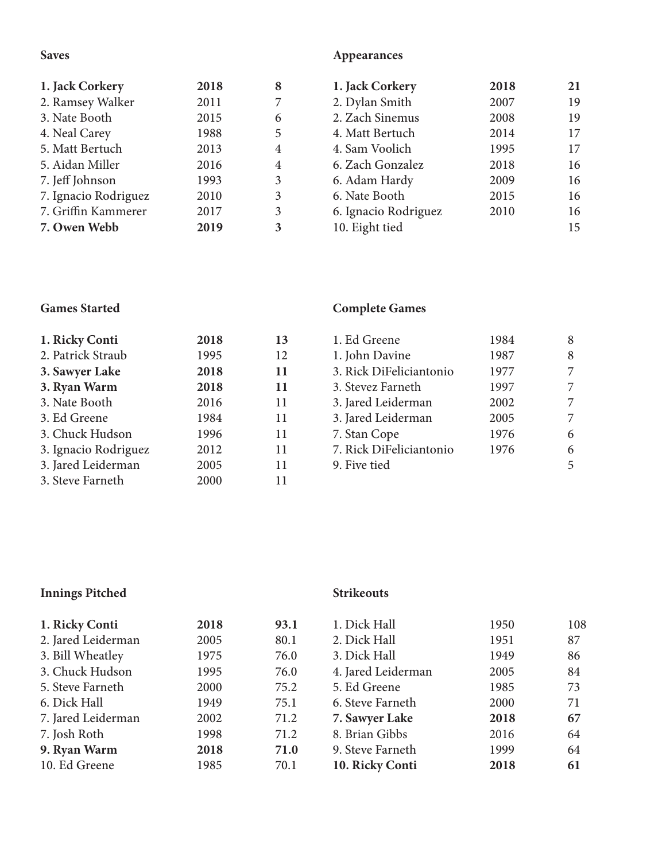# **Saves**

# **Appearances**

| 1. Jack Corkery      | 2018 | 8              | 1. Jack Corkery      | 2018 | 21 |
|----------------------|------|----------------|----------------------|------|----|
| 2. Ramsey Walker     | 2011 |                | 2. Dylan Smith       | 2007 | 19 |
| 3. Nate Booth        | 2015 | 6              | 2. Zach Sinemus      | 2008 | 19 |
| 4. Neal Carey        | 1988 | 5              | 4. Matt Bertuch      | 2014 | 17 |
| 5. Matt Bertuch      | 2013 | 4              | 4. Sam Voolich       | 1995 | 17 |
| 5. Aidan Miller      | 2016 | $\overline{4}$ | 6. Zach Gonzalez     | 2018 | 16 |
| 7. Jeff Johnson      | 1993 | 3              | 6. Adam Hardy        | 2009 | 16 |
| 7. Ignacio Rodriguez | 2010 | 3              | 6. Nate Booth        | 2015 | 16 |
| 7. Griffin Kammerer  | 2017 | 3              | 6. Ignacio Rodriguez | 2010 | 16 |
| 7. Owen Webb         | 2019 | 3              | 10. Eight tied       |      | 15 |

#### **Games Started**

| 1. Ricky Conti       | 2018 | 13 |
|----------------------|------|----|
| 2. Patrick Straub    | 1995 | 12 |
| 3. Sawyer Lake       | 2018 | 11 |
| 3. Ryan Warm         | 2018 | 11 |
| 3. Nate Booth        | 2016 | 11 |
| 3. Ed Greene         | 1984 | 11 |
| 3. Chuck Hudson      | 1996 | 11 |
| 3. Ignacio Rodriguez | 2012 | 11 |
| 3. Jared Leiderman   | 2005 | 11 |
| 3. Steve Farneth     | 2000 | 11 |

# **Complete Games**

| 1. Ed Greene            | 1984 | 8 |
|-------------------------|------|---|
|                         |      |   |
| 1. John Davine          | 1987 | 8 |
| 3. Rick DiFeliciantonio | 1977 |   |
| 3. Stevez Farneth       | 1997 |   |
| 3. Jared Leiderman      | 2002 |   |
| 3. Jared Leiderman      | 2005 |   |
| 7. Stan Cope            | 1976 | 6 |
| 7. Rick DiFeliciantonio | 1976 | 6 |
| 9. Five tied            |      | 5 |

# **Innings Pitched**

#### **Strikeouts**

| 1. Ricky Conti     | 2018 | 93.1 | 1. Dick Hall       | 1950 | 108 |
|--------------------|------|------|--------------------|------|-----|
| 2. Jared Leiderman | 2005 | 80.1 | 2. Dick Hall       | 1951 | 87  |
| 3. Bill Wheatley   | 1975 | 76.0 | 3. Dick Hall       | 1949 | 86  |
| 3. Chuck Hudson    | 1995 | 76.0 | 4. Jared Leiderman | 2005 | 84  |
| 5. Steve Farneth   | 2000 | 75.2 | 5. Ed Greene       | 1985 | 73  |
| 6. Dick Hall       | 1949 | 75.1 | 6. Steve Farneth   | 2000 | 71  |
| 7. Jared Leiderman | 2002 | 71.2 | 7. Sawyer Lake     | 2018 | 67  |
| 7. Josh Roth       | 1998 | 71.2 | 8. Brian Gibbs     | 2016 | 64  |
| 9. Ryan Warm       | 2018 | 71.0 | 9. Steve Farneth   | 1999 | 64  |
| 10. Ed Greene      | 1985 | 70.1 | 10. Ricky Conti    | 2018 | 61  |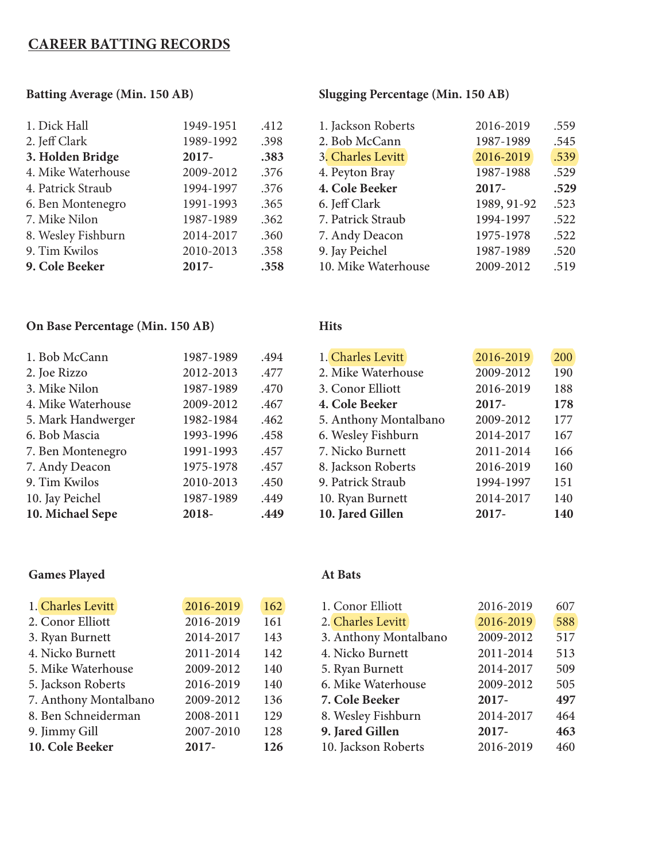# **CAREER BATTING RECORDS**

#### **Batting Average (Min. 150 AB)**

#### **Slugging Percentage (Min. 150 AB)**

| 9. Cole Beeker     | $2017 -$  | .358 | 10. Mike Waterhouse | 2009-2012   | .519 |
|--------------------|-----------|------|---------------------|-------------|------|
| 9. Tim Kwilos      | 2010-2013 | .358 | 9. Jay Peichel      | 1987-1989   | .520 |
| 8. Wesley Fishburn | 2014-2017 | .360 | 7. Andy Deacon      | 1975-1978   | .522 |
| 7. Mike Nilon      | 1987-1989 | .362 | 7. Patrick Straub   | 1994-1997   | .522 |
| 6. Ben Montenegro  | 1991-1993 | .365 | 6. Jeff Clark       | 1989, 91-92 | .523 |
| 4. Patrick Straub  | 1994-1997 | .376 | 4. Cole Beeker      | $2017 -$    | .529 |
| 4. Mike Waterhouse | 2009-2012 | .376 | 4. Peyton Bray      | 1987-1988   | .529 |
| 3. Holden Bridge   | $2017 -$  | .383 | 3. Charles Levitt   | 2016-2019   | .539 |
| 2. Jeff Clark      | 1989-1992 | .398 | 2. Bob McCann       | 1987-1989   | .545 |
| 1. Dick Hall       | 1949-1951 | .412 | 1. Jackson Roberts  | 2016-2019   | .559 |
|                    |           |      |                     |             |      |

**Hits**

#### **On Base Percentage (Min. 150 AB)**

| 10. Michael Sepe   | 2018-     | .449 | 10. Jared Gillen      |  |
|--------------------|-----------|------|-----------------------|--|
| 10. Jay Peichel    | 1987-1989 | .449 | 10. Ryan Burnett      |  |
| 9. Tim Kwilos      | 2010-2013 | .450 | 9. Patrick Straub     |  |
| 7. Andy Deacon     | 1975-1978 | .457 | 8. Jackson Roberts    |  |
| 7. Ben Montenegro  | 1991-1993 | .457 | 7. Nicko Burnett      |  |
| 6. Bob Mascia      | 1993-1996 | .458 | 6. Wesley Fishburn    |  |
| 5. Mark Handwerger | 1982-1984 | .462 | 5. Anthony Montalbano |  |
| 4. Mike Waterhouse | 2009-2012 | .467 | 4. Cole Beeker        |  |
| 3. Mike Nilon      | 1987-1989 | .470 | 3. Conor Elliott      |  |
| 2. Joe Rizzo       | 2012-2013 | .477 | 2. Mike Waterhouse    |  |
| 1. Bob McCann      | 1987-1989 | .494 | 1. Charles Levitt     |  |
|                    |           |      |                       |  |

# **Games Played**

#### $\overline{2009-2012}$  190 3. Conor Elliott 2016-2019 188 **4. Cole Beeker 2017- 178** 5. Anthony Montalbano 2009-2012 177 6. Wesley Fishburn 2014-2017 167 2011-2014 166 2016-2019 160 1994-1997 151 10. 2014-2017 140 **10. Jared Gillen 2017- 140**

2016-2019 200

#### **At Bats**

| 1. Charles Levitt     | 2016-2019 | 162 | 1. Conor Elliott      | 2016-2019 | 607 |
|-----------------------|-----------|-----|-----------------------|-----------|-----|
|                       |           |     |                       |           |     |
| 2. Conor Elliott      | 2016-2019 | 161 | 2. Charles Levitt     | 2016-2019 | 588 |
| 3. Ryan Burnett       | 2014-2017 | 143 | 3. Anthony Montalbano | 2009-2012 | 517 |
| 4. Nicko Burnett      | 2011-2014 | 142 | 4. Nicko Burnett      | 2011-2014 | 513 |
| 5. Mike Waterhouse    | 2009-2012 | 140 | 5. Ryan Burnett       | 2014-2017 | 509 |
| 5. Jackson Roberts    | 2016-2019 | 140 | 6. Mike Waterhouse    | 2009-2012 | 505 |
| 7. Anthony Montalbano | 2009-2012 | 136 | 7. Cole Beeker        | $2017-$   | 497 |
| 8. Ben Schneiderman   | 2008-2011 | 129 | 8. Wesley Fishburn    | 2014-2017 | 464 |
| 9. Jimmy Gill         | 2007-2010 | 128 | 9. Jared Gillen       | $2017 -$  | 463 |
| 10. Cole Beeker       | $2017 -$  | 126 | 10. Jackson Roberts   | 2016-2019 | 460 |
|                       |           |     |                       |           |     |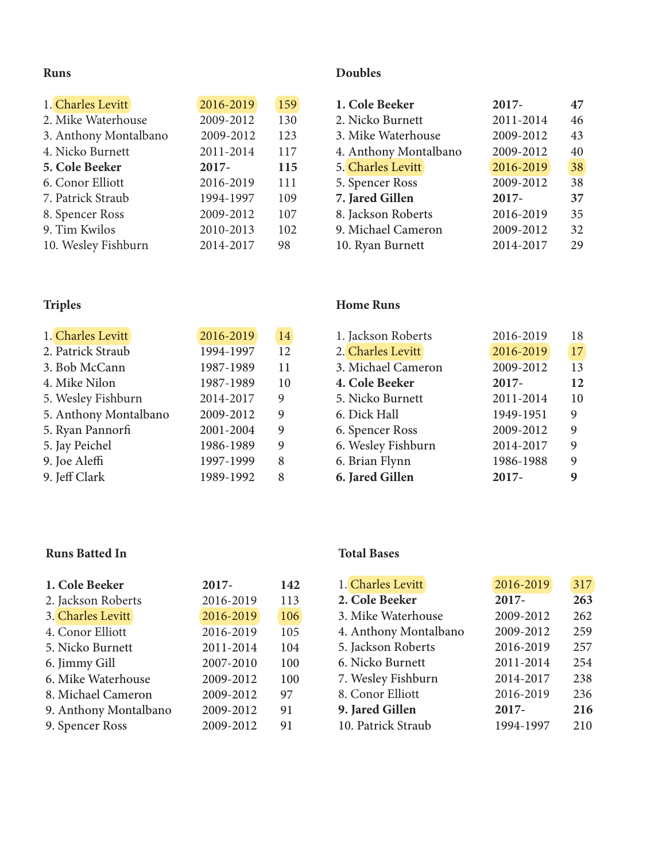# **Runs**

| 1. Charles Levitt     | 2016-2019 | 159 |
|-----------------------|-----------|-----|
| 2. Mike Waterhouse    | 2009-2012 | 130 |
| 3. Anthony Montalbano | 2009-2012 | 123 |
| 4. Nicko Burnett      | 2011-2014 | 117 |
| 5. Cole Beeker        | 2017-     | 115 |
| 6. Conor Elliott      | 2016-2019 | 111 |
| 7. Patrick Straub     | 1994-1997 | 109 |
| 8. Spencer Ross       | 2009-2012 | 107 |
| 9. Tim Kwilos         | 2010-2013 | 102 |
| 10. Wesley Fishburn   | 2014-2017 | 98  |

## **Doubles**

| 1. Cole Beeker        | 2017-     | 47 |
|-----------------------|-----------|----|
| 2. Nicko Burnett      | 2011-2014 | 46 |
| 3. Mike Waterhouse    | 2009-2012 | 43 |
| 4. Anthony Montalbano | 2009-2012 | 40 |
| 5. Charles Levitt     | 2016-2019 | 38 |
| 5. Spencer Ross       | 2009-2012 | 38 |
| 7. Jared Gillen       | 2017-     | 37 |
| 8. Jackson Roberts    | 2016-2019 | 35 |
| 9. Michael Cameron    | 2009-2012 | 32 |
| 10. Ryan Burnett      | 2014-2017 | 29 |

# **Triples**

| 1. Charles Levitt     | 2016-2019 | 14 |
|-----------------------|-----------|----|
| 2. Patrick Straub     | 1994-1997 | 12 |
| 3. Bob McCann         | 1987-1989 | 11 |
| 4. Mike Nilon         | 1987-1989 | 10 |
| 5. Wesley Fishburn    | 2014-2017 | 9  |
| 5. Anthony Montalbano | 2009-2012 | 9  |
| 5. Ryan Pannorfi      | 2001-2004 | 9  |
| 5. Jay Peichel        | 1986-1989 | 9  |
| 9. Joe Aleffi         | 1997-1999 | 8  |
| 9. Jeff Clark         | 1989-1992 | 8  |

#### **Home Runs**

| 1. Jackson Roberts | 2016-2019 | 18 |
|--------------------|-----------|----|
| 2. Charles Levitt  | 2016-2019 | 17 |
| 3. Michael Cameron | 2009-2012 | 13 |
| 4. Cole Beeker     | 2017-     | 12 |
| 5. Nicko Burnett   | 2011-2014 | 10 |
| 6. Dick Hall       | 1949-1951 | 9  |
| 6. Spencer Ross    | 2009-2012 | 9  |
| 6. Wesley Fishburn | 2014-2017 | 9  |
| 6. Brian Flynn     | 1986-1988 | 9  |
| 6. Jared Gillen    | $2017 -$  |    |

### **Runs Batted In**

| 1. Cole Beeker        | 2017-     | 142 |
|-----------------------|-----------|-----|
| 2. Jackson Roberts    | 2016-2019 | 113 |
| 3. Charles Levitt     | 2016-2019 | 106 |
| 4. Conor Elliott      | 2016-2019 | 105 |
| 5. Nicko Burnett      | 2011-2014 | 104 |
| 6. Jimmy Gill         | 2007-2010 | 100 |
| 6. Mike Waterhouse    | 2009-2012 | 100 |
| 8. Michael Cameron    | 2009-2012 | 97  |
| 9. Anthony Montalbano | 2009-2012 | 91  |
| 9. Spencer Ross       | 2009-2012 | 91  |

#### **Total Bases**

| 1. Charles Levitt     | 2016-2019 | 317 |
|-----------------------|-----------|-----|
| 2. Cole Beeker        | $2017 -$  | 263 |
| 3. Mike Waterhouse    | 2009-2012 | 262 |
| 4. Anthony Montalbano | 2009-2012 | 259 |
| 5. Jackson Roberts    | 2016-2019 | 257 |
| 6. Nicko Burnett      | 2011-2014 | 254 |
| 7. Wesley Fishburn    | 2014-2017 | 238 |
| 8. Conor Elliott      | 2016-2019 | 236 |
| 9. Jared Gillen       | 2017-     | 216 |
| 10. Patrick Straub    | 1994-1997 | 210 |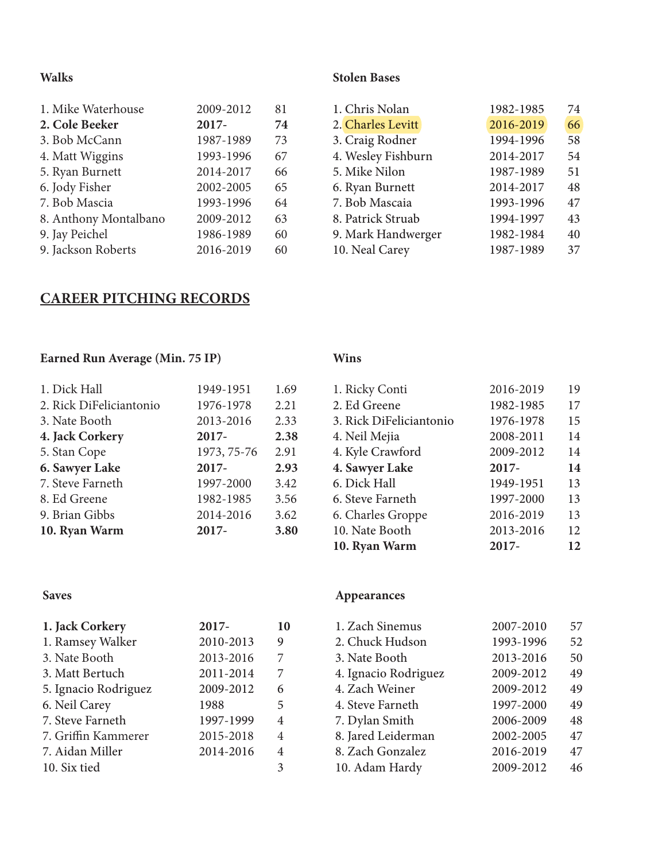#### **Walks**

| 1. Mike Waterhouse    | 2009-2012 | 81 |
|-----------------------|-----------|----|
| 2. Cole Beeker        | 2017-     | 74 |
| 3. Bob McCann         | 1987-1989 | 73 |
| 4. Matt Wiggins       | 1993-1996 | 67 |
| 5. Ryan Burnett       | 2014-2017 | 66 |
| 6. Jody Fisher        | 2002-2005 | 65 |
| 7. Bob Mascia         | 1993-1996 | 64 |
| 8. Anthony Montalbano | 2009-2012 | 63 |
| 9. Jay Peichel        | 1986-1989 | 60 |
| 9. Jackson Roberts    | 2016-2019 | 60 |

#### **Stolen Bases**

| 1982-1985 | 74 |
|-----------|----|
| 2016-2019 | 66 |
| 1994-1996 | 58 |
| 2014-2017 | 54 |
| 1987-1989 | 51 |
| 2014-2017 | 48 |
| 1993-1996 | 47 |
| 1994-1997 | 43 |
| 1982-1984 | 40 |
| 1987-1989 | 37 |
|           |    |

# **CAREER PITCHING RECORDS**

# **Earned Run Average (Min. 75 IP)**

| 1949-1951   | 1.69 |
|-------------|------|
| 1976-1978   | 2.21 |
| 2013-2016   | 2.33 |
| 2017-       | 2.38 |
| 1973, 75-76 | 2.91 |
| 2017-       | 2.93 |
| 1997-2000   | 3.42 |
| 1982-1985   | 3.56 |
| 2014-2016   | 3.62 |
| 2017-       | 3.80 |
|             |      |

# **Wins**

| 1. Ricky Conti          | 2016-2019 | 19 |
|-------------------------|-----------|----|
| 2. Ed Greene            | 1982-1985 | 17 |
| 3. Rick DiFeliciantonio | 1976-1978 | 15 |
| 4. Neil Mejia           | 2008-2011 | 14 |
| 4. Kyle Crawford        | 2009-2012 | 14 |
| 4. Sawyer Lake          | 2017-     | 14 |
| 6. Dick Hall            | 1949-1951 | 13 |
| 6. Steve Farneth        | 1997-2000 | 13 |
| 6. Charles Groppe       | 2016-2019 | 13 |
| 10. Nate Booth          | 2013-2016 | 12 |
| 10. Ryan Warm           | 2017-     | 12 |

### **Saves**

| 1. Jack Corkery      | 2017-     | 10 |
|----------------------|-----------|----|
| 1. Ramsey Walker     | 2010-2013 | 9  |
| 3. Nate Booth        | 2013-2016 | 7  |
| 3. Matt Bertuch      | 2011-2014 | 7  |
| 5. Ignacio Rodriguez | 2009-2012 | 6  |
| 6. Neil Carey        | 1988      | 5  |
| 7. Steve Farneth     | 1997-1999 | 4  |
| 7. Griffin Kammerer  | 2015-2018 | 4  |
| 7. Aidan Miller      | 2014-2016 | 4  |
| 10. Six tied         |           | 3  |

# **Appearances**

| 1. Zach Sinemus      | 2007-2010 | 57 |
|----------------------|-----------|----|
| 2. Chuck Hudson      | 1993-1996 | 52 |
| 3. Nate Booth        | 2013-2016 | 50 |
| 4. Ignacio Rodriguez | 2009-2012 | 49 |
| 4. Zach Weiner       | 2009-2012 | 49 |
| 4. Steve Farneth     | 1997-2000 | 49 |
| 7. Dylan Smith       | 2006-2009 | 48 |
| 8. Jared Leiderman   | 2002-2005 | 47 |
| 8. Zach Gonzalez     | 2016-2019 | 47 |
| 10. Adam Hardy       | 2009-2012 | 46 |